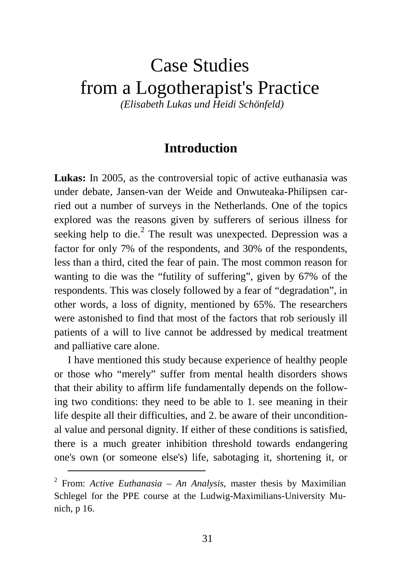## Case Studies from a Logotherapist's Practice *(Elisabeth Lukas und Heidi Schönfeld)*

**Introduction**

**Lukas:** In 2005, as the controversial topic of active euthanasia was under debate, Jansen-van der Weide and Onwuteaka-Philipsen carried out a number of surveys in the Netherlands. One of the topics explored was the reasons given by sufferers of serious illness for seeking help to die. $<sup>2</sup>$  $<sup>2</sup>$  $<sup>2</sup>$  The result was unexpected. Depression was a</sup> factor for only 7% of the respondents, and 30% of the respondents, less than a third, cited the fear of pain. The most common reason for wanting to die was the "futility of suffering", given by 67% of the respondents. This was closely followed by a fear of "degradation", in other words, a loss of dignity, mentioned by 65%. The researchers were astonished to find that most of the factors that rob seriously ill patients of a will to live cannot be addressed by medical treatment and palliative care alone.

I have mentioned this study because experience of healthy people or those who "merely" suffer from mental health disorders shows that their ability to affirm life fundamentally depends on the following two conditions: they need to be able to 1. see meaning in their life despite all their difficulties, and 2. be aware of their unconditional value and personal dignity. If either of these conditions is satisfied, there is a much greater inhibition threshold towards endangering one's own (or someone else's) life, sabotaging it, shortening it, or

<span id="page-0-0"></span> <sup>2</sup> From: *Active Euthanasia – An Analysis*, master thesis by Maximilian Schlegel for the PPE course at the Ludwig-Maximilians-University Munich, p 16.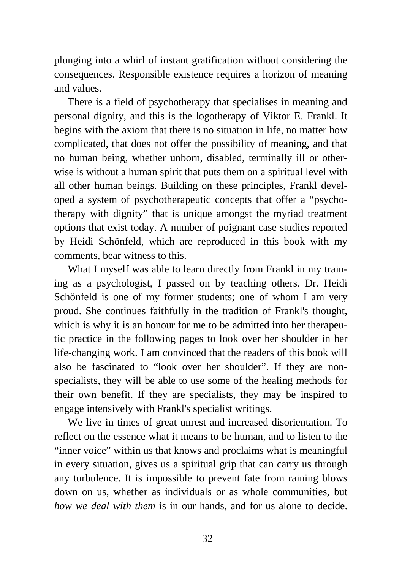plunging into a whirl of instant gratification without considering the consequences. Responsible existence requires a horizon of meaning and values.

There is a field of psychotherapy that specialises in meaning and personal dignity, and this is the logotherapy of Viktor E. Frankl. It begins with the axiom that there is no situation in life, no matter how complicated, that does not offer the possibility of meaning, and that no human being, whether unborn, disabled, terminally ill or otherwise is without a human spirit that puts them on a spiritual level with all other human beings. Building on these principles, Frankl developed a system of psychotherapeutic concepts that offer a "psychotherapy with dignity" that is unique amongst the myriad treatment options that exist today. A number of poignant case studies reported by Heidi Schönfeld, which are reproduced in this book with my comments, bear witness to this.

What I myself was able to learn directly from Frankl in my training as a psychologist, I passed on by teaching others. Dr. Heidi Schönfeld is one of my former students; one of whom I am very proud. She continues faithfully in the tradition of Frankl's thought, which is why it is an honour for me to be admitted into her therapeutic practice in the following pages to look over her shoulder in her life-changing work. I am convinced that the readers of this book will also be fascinated to "look over her shoulder". If they are nonspecialists, they will be able to use some of the healing methods for their own benefit. If they are specialists, they may be inspired to engage intensively with Frankl's specialist writings.

We live in times of great unrest and increased disorientation. To reflect on the essence what it means to be human, and to listen to the "inner voice" within us that knows and proclaims what is meaningful in every situation, gives us a spiritual grip that can carry us through any turbulence. It is impossible to prevent fate from raining blows down on us, whether as individuals or as whole communities, but *how we deal with them* is in our hands, and for us alone to decide.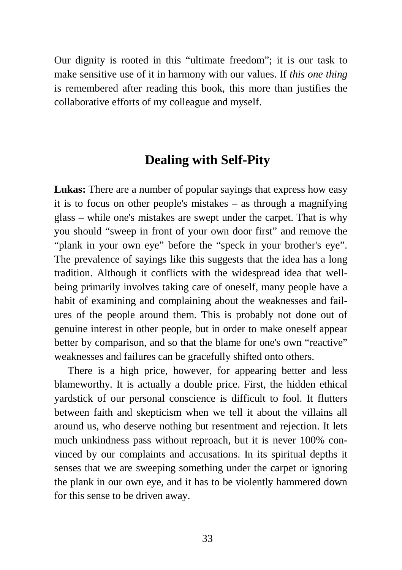Our dignity is rooted in this "ultimate freedom"; it is our task to make sensitive use of it in harmony with our values. If *this one thing* is remembered after reading this book, this more than justifies the collaborative efforts of my colleague and myself.

## **Dealing with Self-Pity**

**Lukas:** There are a number of popular sayings that express how easy it is to focus on other people's mistakes – as through a magnifying glass – while one's mistakes are swept under the carpet. That is why you should "sweep in front of your own door first" and remove the "plank in your own eye" before the "speck in your brother's eye". The prevalence of sayings like this suggests that the idea has a long tradition. Although it conflicts with the widespread idea that wellbeing primarily involves taking care of oneself, many people have a habit of examining and complaining about the weaknesses and failures of the people around them. This is probably not done out of genuine interest in other people, but in order to make oneself appear better by comparison, and so that the blame for one's own "reactive" weaknesses and failures can be gracefully shifted onto others.

There is a high price, however, for appearing better and less blameworthy. It is actually a double price. First, the hidden ethical yardstick of our personal conscience is difficult to fool. It flutters between faith and skepticism when we tell it about the villains all around us, who deserve nothing but resentment and rejection. It lets much unkindness pass without reproach, but it is never 100% convinced by our complaints and accusations. In its spiritual depths it senses that we are sweeping something under the carpet or ignoring the plank in our own eye, and it has to be violently hammered down for this sense to be driven away.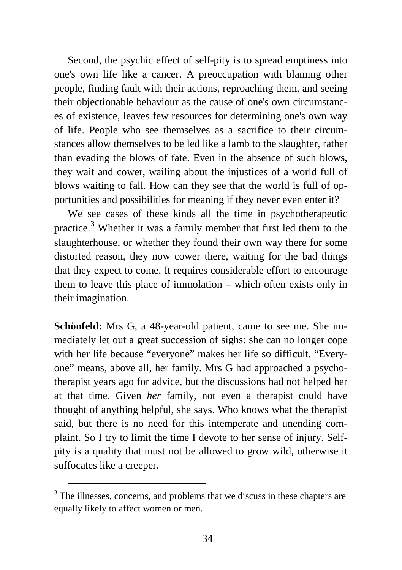Second, the psychic effect of self-pity is to spread emptiness into one's own life like a cancer. A preoccupation with blaming other people, finding fault with their actions, reproaching them, and seeing their objectionable behaviour as the cause of one's own circumstances of existence, leaves few resources for determining one's own way of life. People who see themselves as a sacrifice to their circumstances allow themselves to be led like a lamb to the slaughter, rather than evading the blows of fate. Even in the absence of such blows, they wait and cower, wailing about the injustices of a world full of blows waiting to fall. How can they see that the world is full of opportunities and possibilities for meaning if they never even enter it?

We see cases of these kinds all the time in psychotherapeutic practice.<sup>[3](#page-3-0)</sup> Whether it was a family member that first led them to the slaughterhouse, or whether they found their own way there for some distorted reason, they now cower there, waiting for the bad things that they expect to come. It requires considerable effort to encourage them to leave this place of immolation – which often exists only in their imagination.

**Schönfeld:** Mrs G, a 48-year-old patient, came to see me. She immediately let out a great succession of sighs: she can no longer cope with her life because "everyone" makes her life so difficult. "Everyone" means, above all, her family. Mrs G had approached a psychotherapist years ago for advice, but the discussions had not helped her at that time. Given *her* family, not even a therapist could have thought of anything helpful, she says. Who knows what the therapist said, but there is no need for this intemperate and unending complaint. So I try to limit the time I devote to her sense of injury. Selfpity is a quality that must not be allowed to grow wild, otherwise it suffocates like a creeper.

<span id="page-3-0"></span><sup>&</sup>lt;sup>3</sup> The illnesses, concerns, and problems that we discuss in these chapters are equally likely to affect women or men.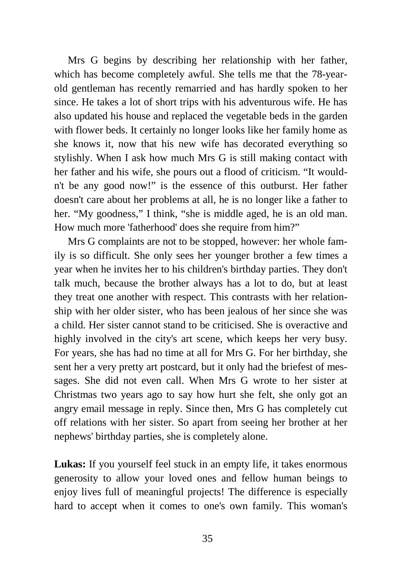Mrs G begins by describing her relationship with her father, which has become completely awful. She tells me that the 78-yearold gentleman has recently remarried and has hardly spoken to her since. He takes a lot of short trips with his adventurous wife. He has also updated his house and replaced the vegetable beds in the garden with flower beds. It certainly no longer looks like her family home as she knows it, now that his new wife has decorated everything so stylishly. When I ask how much Mrs G is still making contact with her father and his wife, she pours out a flood of criticism. "It wouldn't be any good now!" is the essence of this outburst. Her father doesn't care about her problems at all, he is no longer like a father to her. "My goodness," I think, "she is middle aged, he is an old man. How much more 'fatherhood' does she require from him?"

Mrs G complaints are not to be stopped, however: her whole family is so difficult. She only sees her younger brother a few times a year when he invites her to his children's birthday parties. They don't talk much, because the brother always has a lot to do, but at least they treat one another with respect. This contrasts with her relationship with her older sister, who has been jealous of her since she was a child. Her sister cannot stand to be criticised. She is overactive and highly involved in the city's art scene, which keeps her very busy. For years, she has had no time at all for Mrs G. For her birthday, she sent her a very pretty art postcard, but it only had the briefest of messages. She did not even call. When Mrs G wrote to her sister at Christmas two years ago to say how hurt she felt, she only got an angry email message in reply. Since then, Mrs G has completely cut off relations with her sister. So apart from seeing her brother at her nephews' birthday parties, she is completely alone.

**Lukas:** If you yourself feel stuck in an empty life, it takes enormous generosity to allow your loved ones and fellow human beings to enjoy lives full of meaningful projects! The difference is especially hard to accept when it comes to one's own family. This woman's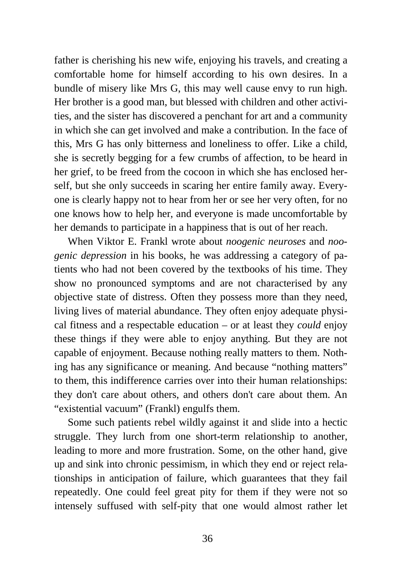father is cherishing his new wife, enjoying his travels, and creating a comfortable home for himself according to his own desires. In a bundle of misery like Mrs G, this may well cause envy to run high. Her brother is a good man, but blessed with children and other activities, and the sister has discovered a penchant for art and a community in which she can get involved and make a contribution. In the face of this, Mrs G has only bitterness and loneliness to offer. Like a child, she is secretly begging for a few crumbs of affection, to be heard in her grief, to be freed from the cocoon in which she has enclosed herself, but she only succeeds in scaring her entire family away. Everyone is clearly happy not to hear from her or see her very often, for no one knows how to help her, and everyone is made uncomfortable by her demands to participate in a happiness that is out of her reach.

When Viktor E. Frankl wrote about *noogenic neuroses* and *noogenic depression* in his books, he was addressing a category of patients who had not been covered by the textbooks of his time. They show no pronounced symptoms and are not characterised by any objective state of distress. Often they possess more than they need, living lives of material abundance. They often enjoy adequate physical fitness and a respectable education – or at least they *could* enjoy these things if they were able to enjoy anything. But they are not capable of enjoyment. Because nothing really matters to them. Nothing has any significance or meaning. And because "nothing matters" to them, this indifference carries over into their human relationships: they don't care about others, and others don't care about them. An "existential vacuum" (Frankl) engulfs them.

Some such patients rebel wildly against it and slide into a hectic struggle. They lurch from one short-term relationship to another, leading to more and more frustration. Some, on the other hand, give up and sink into chronic pessimism, in which they end or reject relationships in anticipation of failure, which guarantees that they fail repeatedly. One could feel great pity for them if they were not so intensely suffused with self-pity that one would almost rather let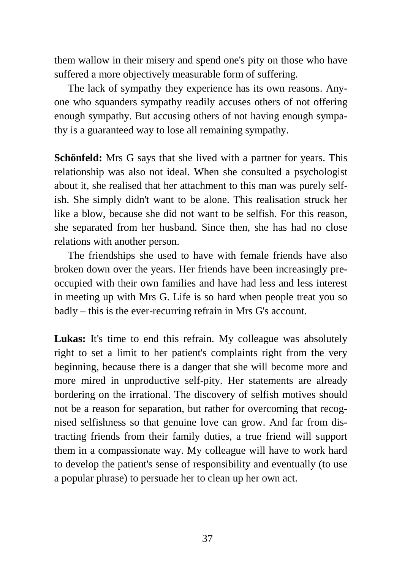them wallow in their misery and spend one's pity on those who have suffered a more objectively measurable form of suffering.

The lack of sympathy they experience has its own reasons. Anyone who squanders sympathy readily accuses others of not offering enough sympathy. But accusing others of not having enough sympathy is a guaranteed way to lose all remaining sympathy.

**Schönfeld:** Mrs G says that she lived with a partner for years. This relationship was also not ideal. When she consulted a psychologist about it, she realised that her attachment to this man was purely selfish. She simply didn't want to be alone. This realisation struck her like a blow, because she did not want to be selfish. For this reason, she separated from her husband. Since then, she has had no close relations with another person.

The friendships she used to have with female friends have also broken down over the years. Her friends have been increasingly preoccupied with their own families and have had less and less interest in meeting up with Mrs G. Life is so hard when people treat you so badly – this is the ever-recurring refrain in Mrs G's account.

Lukas: It's time to end this refrain. My colleague was absolutely right to set a limit to her patient's complaints right from the very beginning, because there is a danger that she will become more and more mired in unproductive self-pity. Her statements are already bordering on the irrational. The discovery of selfish motives should not be a reason for separation, but rather for overcoming that recognised selfishness so that genuine love can grow. And far from distracting friends from their family duties, a true friend will support them in a compassionate way. My colleague will have to work hard to develop the patient's sense of responsibility and eventually (to use a popular phrase) to persuade her to clean up her own act.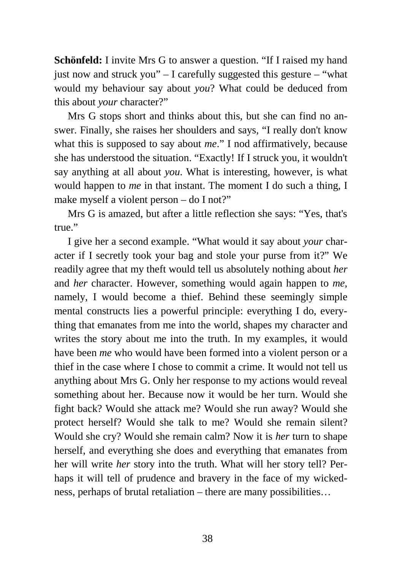**Schönfeld:** I invite Mrs G to answer a question. "If I raised my hand just now and struck you" – I carefully suggested this gesture – "what would my behaviour say about *you*? What could be deduced from this about *your* character?"

Mrs G stops short and thinks about this, but she can find no answer. Finally, she raises her shoulders and says, "I really don't know what this is supposed to say about *me*." I nod affirmatively, because she has understood the situation. "Exactly! If I struck you, it wouldn't say anything at all about *you*. What is interesting, however, is what would happen to *me* in that instant. The moment I do such a thing, I make myself a violent person – do I not?"

Mrs G is amazed, but after a little reflection she says: "Yes, that's true."

I give her a second example. "What would it say about *your* character if I secretly took your bag and stole your purse from it?" We readily agree that my theft would tell us absolutely nothing about *her* and *her* character. However, something would again happen to *me*, namely, I would become a thief. Behind these seemingly simple mental constructs lies a powerful principle: everything I do, everything that emanates from me into the world, shapes my character and writes the story about me into the truth. In my examples, it would have been *me* who would have been formed into a violent person or a thief in the case where I chose to commit a crime. It would not tell us anything about Mrs G. Only her response to my actions would reveal something about her. Because now it would be her turn. Would she fight back? Would she attack me? Would she run away? Would she protect herself? Would she talk to me? Would she remain silent? Would she cry? Would she remain calm? Now it is *her* turn to shape herself, and everything she does and everything that emanates from her will write *her* story into the truth. What will her story tell? Perhaps it will tell of prudence and bravery in the face of my wickedness, perhaps of brutal retaliation – there are many possibilities…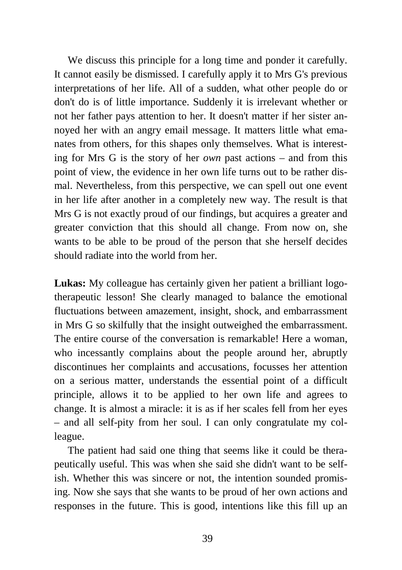We discuss this principle for a long time and ponder it carefully. It cannot easily be dismissed. I carefully apply it to Mrs G's previous interpretations of her life. All of a sudden, what other people do or don't do is of little importance. Suddenly it is irrelevant whether or not her father pays attention to her. It doesn't matter if her sister annoyed her with an angry email message. It matters little what emanates from others, for this shapes only themselves. What is interesting for Mrs G is the story of her *own* past actions – and from this point of view, the evidence in her own life turns out to be rather dismal. Nevertheless, from this perspective, we can spell out one event in her life after another in a completely new way. The result is that Mrs G is not exactly proud of our findings, but acquires a greater and greater conviction that this should all change. From now on, she wants to be able to be proud of the person that she herself decides should radiate into the world from her.

**Lukas:** My colleague has certainly given her patient a brilliant logotherapeutic lesson! She clearly managed to balance the emotional fluctuations between amazement, insight, shock, and embarrassment in Mrs G so skilfully that the insight outweighed the embarrassment. The entire course of the conversation is remarkable! Here a woman, who incessantly complains about the people around her, abruptly discontinues her complaints and accusations, focusses her attention on a serious matter, understands the essential point of a difficult principle, allows it to be applied to her own life and agrees to change. It is almost a miracle: it is as if her scales fell from her eyes – and all self-pity from her soul. I can only congratulate my colleague.

The patient had said one thing that seems like it could be therapeutically useful. This was when she said she didn't want to be selfish. Whether this was sincere or not, the intention sounded promising. Now she says that she wants to be proud of her own actions and responses in the future. This is good, intentions like this fill up an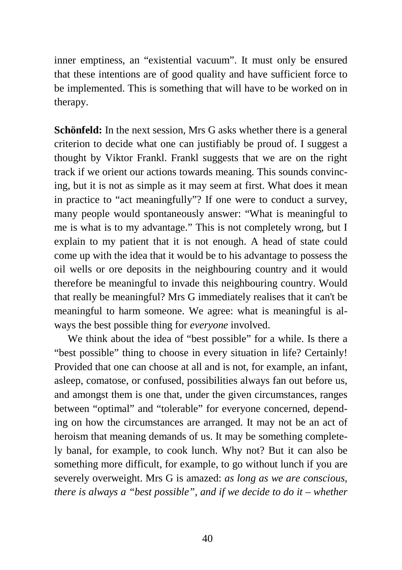inner emptiness, an "existential vacuum". It must only be ensured that these intentions are of good quality and have sufficient force to be implemented. This is something that will have to be worked on in therapy.

**Schönfeld:** In the next session, Mrs G asks whether there is a general criterion to decide what one can justifiably be proud of. I suggest a thought by Viktor Frankl. Frankl suggests that we are on the right track if we orient our actions towards meaning. This sounds convincing, but it is not as simple as it may seem at first. What does it mean in practice to "act meaningfully"? If one were to conduct a survey, many people would spontaneously answer: "What is meaningful to me is what is to my advantage." This is not completely wrong, but I explain to my patient that it is not enough. A head of state could come up with the idea that it would be to his advantage to possess the oil wells or ore deposits in the neighbouring country and it would therefore be meaningful to invade this neighbouring country. Would that really be meaningful? Mrs G immediately realises that it can't be meaningful to harm someone. We agree: what is meaningful is always the best possible thing for *everyone* involved.

We think about the idea of "best possible" for a while. Is there a "best possible" thing to choose in every situation in life? Certainly! Provided that one can choose at all and is not, for example, an infant, asleep, comatose, or confused, possibilities always fan out before us, and amongst them is one that, under the given circumstances, ranges between "optimal" and "tolerable" for everyone concerned, depending on how the circumstances are arranged. It may not be an act of heroism that meaning demands of us. It may be something completely banal, for example, to cook lunch. Why not? But it can also be something more difficult, for example, to go without lunch if you are severely overweight. Mrs G is amazed: *as long as we are conscious, there is always a "best possible", and if we decide to do it – whether*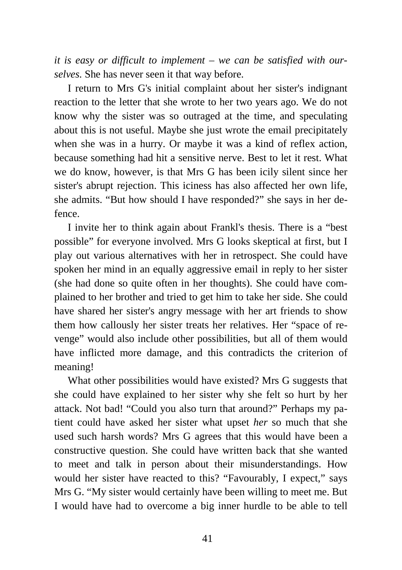*it is easy or difficult to implement – we can be satisfied with ourselves.* She has never seen it that way before.

I return to Mrs G's initial complaint about her sister's indignant reaction to the letter that she wrote to her two years ago. We do not know why the sister was so outraged at the time, and speculating about this is not useful. Maybe she just wrote the email precipitately when she was in a hurry. Or maybe it was a kind of reflex action, because something had hit a sensitive nerve. Best to let it rest. What we do know, however, is that Mrs G has been icily silent since her sister's abrupt rejection. This iciness has also affected her own life, she admits. "But how should I have responded?" she says in her defence.

I invite her to think again about Frankl's thesis. There is a "best possible" for everyone involved. Mrs G looks skeptical at first, but I play out various alternatives with her in retrospect. She could have spoken her mind in an equally aggressive email in reply to her sister (she had done so quite often in her thoughts). She could have complained to her brother and tried to get him to take her side. She could have shared her sister's angry message with her art friends to show them how callously her sister treats her relatives. Her "space of revenge" would also include other possibilities, but all of them would have inflicted more damage, and this contradicts the criterion of meaning!

What other possibilities would have existed? Mrs G suggests that she could have explained to her sister why she felt so hurt by her attack. Not bad! "Could you also turn that around?" Perhaps my patient could have asked her sister what upset *her* so much that she used such harsh words? Mrs G agrees that this would have been a constructive question. She could have written back that she wanted to meet and talk in person about their misunderstandings. How would her sister have reacted to this? "Favourably, I expect," says Mrs G. "My sister would certainly have been willing to meet me. But I would have had to overcome a big inner hurdle to be able to tell